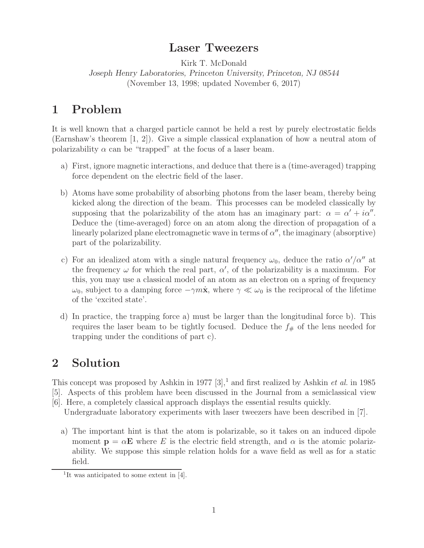# **Laser Tweezers**

Kirk T. McDonald *Joseph Henry Laboratories, Princeton University, Princeton, NJ 08544* (November 13, 1998; updated November 6, 2017)

## **1 Problem**

It is well known that a charged particle cannot be held a rest by purely electrostatic fields (Earnshaw's theorem [1, 2]). Give a simple classical explanation of how a neutral atom of polarizability  $\alpha$  can be "trapped" at the focus of a laser beam.

- a) First, ignore magnetic interactions, and deduce that there is a (time-averaged) trapping force dependent on the electric field of the laser.
- b) Atoms have some probability of absorbing photons from the laser beam, thereby being kicked along the direction of the beam. This processes can be modeled classically by supposing that the polarizability of the atom has an imaginary part:  $\alpha = \alpha' + i\alpha''$ . Deduce the (time-averaged) force on an atom along the direction of propagation of a linearly polarized plane electromagnetic wave in terms of  $\alpha''$ , the imaginary (absorptive) part of the polarizability.
- c) For an idealized atom with a single natural frequency  $\omega_0$ , deduce the ratio  $\alpha'/\alpha''$  at the frequency  $\omega$  for which the real part,  $\alpha'$ , of the polarizability is a maximum. For this, you may use a classical model of an atom as an electron on a spring of frequency  $\omega_0$ , subject to a damping force  $-\gamma m\dot{\mathbf{x}}$ , where  $\gamma \ll \omega_0$  is the reciprocal of the lifetime of the 'excited state'.
- d) In practice, the trapping force a) must be larger than the longitudinal force b). This requires the laser beam to be tightly focused. Deduce the  $f_{#}$  of the lens needed for trapping under the conditions of part c).

# **2 Solution**

This concept was proposed by Ashkin in 1977  $[3]$ ,<sup>1</sup> and first realized by Ashkin *et al.* in 1985 [5]. Aspects of this problem have been discussed in the Journal from a semiclassical view

- [6]. Here, a completely classical approach displays the essential results quickly. Undergraduate laboratory experiments with laser tweezers have been described in [7].
	- a) The important hint is that the atom is polarizable, so it takes on an induced dipole moment  $\mathbf{p} = \alpha \mathbf{E}$  where E is the electric field strength, and  $\alpha$  is the atomic polarizability. We suppose this simple relation holds for a wave field as well as for a static field.

<sup>&</sup>lt;sup>1</sup>It was anticipated to some extent in [4].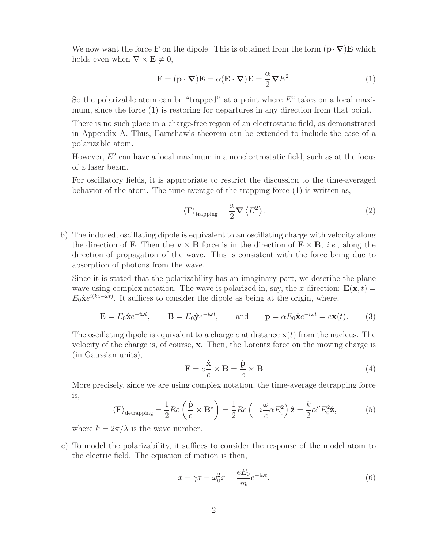We now want the force **F** on the dipole. This is obtained from the form  $(\mathbf{p} \cdot \nabla) \mathbf{E}$  which holds even when  $\nabla \times \mathbf{E} \neq 0$ ,

$$
\mathbf{F} = (\mathbf{p} \cdot \nabla)\mathbf{E} = \alpha(\mathbf{E} \cdot \nabla)\mathbf{E} = \frac{\alpha}{2}\nabla E^2.
$$
 (1)

So the polarizable atom can be "trapped" at a point where  $E^2$  takes on a local maximum, since the force (1) is restoring for departures in any direction from that point.

There is no such place in a charge-free region of an electrostatic field, as demonstrated in Appendix A. Thus, Earnshaw's theorem can be extended to include the case of a polarizable atom.

However,  $E^2$  can have a local maximum in a nonelectrostatic field, such as at the focus of a laser beam.

For oscillatory fields, it is appropriate to restrict the discussion to the time-averaged behavior of the atom. The time-average of the trapping force (1) is written as,

$$
\langle \mathbf{F} \rangle_{\text{trapping}} = \frac{\alpha}{2} \boldsymbol{\nabla} \left\langle E^2 \right\rangle. \tag{2}
$$

b) The induced, oscillating dipole is equivalent to an oscillating charge with velocity along the direction of **E**. Then the **v**  $\times$  **B** force is in the direction of  $\mathbf{E} \times \mathbf{B}$ , *i.e.*, along the direction of propagation of the wave. This is consistent with the force being due to absorption of photons from the wave.

Since it is stated that the polarizability has an imaginary part, we describe the plane wave using complex notation. The wave is polarized in, say, the x direction:  $\mathbf{E}(\mathbf{x},t) =$  $E_0 \hat{\mathbf{x}} e^{i(kz-\omega t)}$ . It suffices to consider the dipole as being at the origin, where,

$$
\mathbf{E} = E_0 \hat{\mathbf{x}} e^{-i\omega t}, \qquad \mathbf{B} = E_0 \hat{\mathbf{y}} e^{-i\omega t}, \qquad \text{and} \qquad \mathbf{p} = \alpha E_0 \hat{\mathbf{x}} e^{-i\omega t} = e \mathbf{x}(t). \tag{3}
$$

The oscillating dipole is equivalent to a charge e at distance  $\mathbf{x}(t)$  from the nucleus. The velocity of the charge is, of course, **x**˙ . Then, the Lorentz force on the moving charge is (in Gaussian units),

$$
\mathbf{F} = e \frac{\dot{\mathbf{x}}}{c} \times \mathbf{B} = \frac{\dot{\mathbf{p}}}{c} \times \mathbf{B}
$$
 (4)

More precisely, since we are using complex notation, the time-average detrapping force is,

$$
\langle \mathbf{F} \rangle_{\text{detrapping}} = \frac{1}{2} Re \left( \frac{\dot{\mathbf{p}}}{c} \times \mathbf{B}^{\star} \right) = \frac{1}{2} Re \left( -i \frac{\omega}{c} \alpha E_0^2 \right) \hat{\mathbf{z}} = \frac{k}{2} \alpha'' E_0^2 \hat{\mathbf{z}},\tag{5}
$$

where  $k = 2\pi/\lambda$  is the wave number.

c) To model the polarizability, it suffices to consider the response of the model atom to the electric field. The equation of motion is then,

$$
\ddot{x} + \gamma \dot{x} + \omega_0^2 x = \frac{eE_0}{m} e^{-i\omega t}.
$$
\n(6)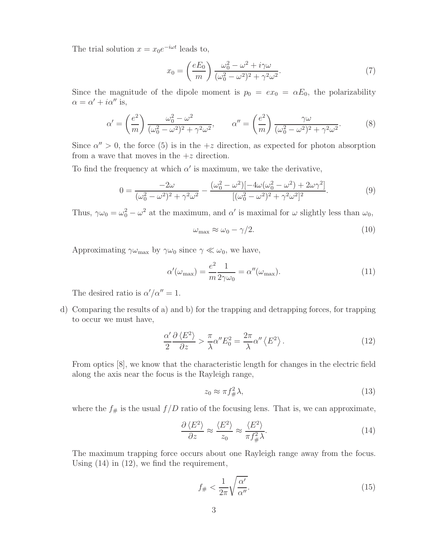The trial solution  $x = x_0 e^{-i\omega t}$  leads to,

$$
x_0 = \left(\frac{eE_0}{m}\right) \frac{\omega_0^2 - \omega^2 + i\gamma\omega}{(\omega_0^2 - \omega^2)^2 + \gamma^2\omega^2}.
$$
\n<sup>(7)</sup>

Since the magnitude of the dipole moment is  $p_0 = e x_0 = \alpha E_0$ , the polarizability  $\alpha = \alpha' + i\alpha''$  is,

$$
\alpha' = \left(\frac{e^2}{m}\right) \frac{\omega_0^2 - \omega^2}{(\omega_0^2 - \omega^2)^2 + \gamma^2 \omega^2}, \qquad \alpha'' = \left(\frac{e^2}{m}\right) \frac{\gamma \omega}{(\omega_0^2 - \omega^2)^2 + \gamma^2 \omega^2}.
$$
 (8)

Since  $\alpha'' > 0$ , the force (5) is in the  $+z$  direction, as expected for photon absorption from a wave that moves in the  $+z$  direction.

To find the frequency at which  $\alpha'$  is maximum, we take the derivative,

$$
0 = \frac{-2\omega}{(\omega_0^2 - \omega^2)^2 + \gamma^2 \omega^2} - \frac{(\omega_0^2 - \omega^2)[-4\omega(\omega_0^2 - \omega^2) + 2\omega\gamma^2]}{[(\omega_0^2 - \omega^2)^2 + \gamma^2 \omega^2]^2}.
$$
 (9)

Thus,  $\gamma \omega_0 = \omega_0^2 - \omega^2$  at the maximum, and  $\alpha'$  is maximal for  $\omega$  slightly less than  $\omega_0$ ,

$$
\omega_{\text{max}} \approx \omega_0 - \gamma/2. \tag{10}
$$

Approximating  $\gamma\omega_{\text{max}}$  by  $\gamma\omega_0$  since  $\gamma \ll \omega_0$ , we have,

$$
\alpha'(\omega_{\text{max}}) = \frac{e^2}{m} \frac{1}{2\gamma \omega_0} = \alpha''(\omega_{\text{max}}). \tag{11}
$$

The desired ratio is  $\alpha'/\alpha'' = 1$ .

d) Comparing the results of a) and b) for the trapping and detrapping forces, for trapping to occur we must have,

$$
\frac{\alpha'}{2} \frac{\partial \langle E^2 \rangle}{\partial z} > \frac{\pi}{\lambda} \alpha'' E_0^2 = \frac{2\pi}{\lambda} \alpha'' \langle E^2 \rangle.
$$
 (12)

From optics [8], we know that the characteristic length for changes in the electric field along the axis near the focus is the Rayleigh range,

$$
z_0 \approx \pi f_\#^2 \lambda,\tag{13}
$$

where the  $f_{\#}$  is the usual  $f/D$  ratio of the focusing lens. That is, we can approximate,

$$
\frac{\partial \langle E^2 \rangle}{\partial z} \approx \frac{\langle E^2 \rangle}{z_0} \approx \frac{\langle E^2 \rangle}{\pi f_\#^2 \lambda}.
$$
\n(14)

The maximum trapping force occurs about one Rayleigh range away from the focus. Using (14) in (12), we find the requirement,

$$
f_{\#} < \frac{1}{2\pi} \sqrt{\frac{\alpha'}{\alpha''}}.\tag{15}
$$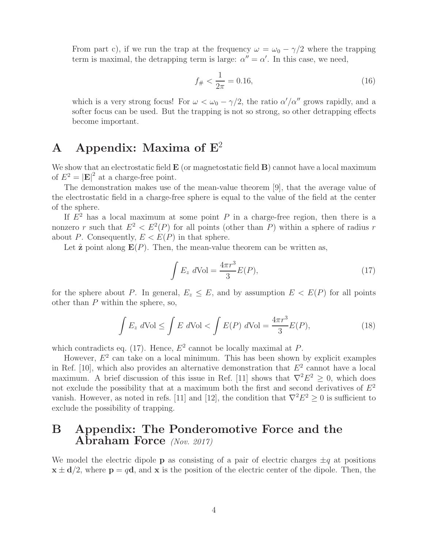From part c), if we run the trap at the frequency  $\omega = \omega_0 - \gamma/2$  where the trapping term is maximal, the detrapping term is large:  $\alpha'' = \alpha'$ . In this case, we need,

$$
f_{\#} < \frac{1}{2\pi} = 0.16,\tag{16}
$$

which is a very strong focus! For  $\omega < \omega_0 - \gamma/2$ , the ratio  $\alpha'/\alpha''$  grows rapidly, and a softer focus can be used. But the trapping is not so strong, so other detrapping effects become important.

# **A Appendix: Maxima of E**<sup>2</sup>

We show that an electrostatic field **E** (or magnetostatic field **B**) cannot have a local maximum of  $E^2 = |\mathbf{E}|^2$  at a charge-free point.

The demonstration makes use of the mean-value theorem [9], that the average value of the electrostatic field in a charge-free sphere is equal to the value of the field at the center of the sphere.

If  $E<sup>2</sup>$  has a local maximum at some point P in a charge-free region, then there is a nonzero r such that  $E^2 < E^2(P)$  for all points (other than P) within a sphere of radius r about P. Consequently,  $E < E(P)$  in that sphere.

Let  $\hat{\mathbf{z}}$  point along  $\mathbf{E}(P)$ . Then, the mean-value theorem can be written as,

$$
\int E_z dVol = \frac{4\pi r^3}{3} E(P), \qquad (17)
$$

for the sphere about P. In general,  $E_z \leq E$ , and by assumption  $E \lt E(P)$  for all points other than  $P$  within the sphere, so,

$$
\int E_z \, d\text{Vol} \le \int E \, d\text{Vol} < \int E(P) \, d\text{Vol} = \frac{4\pi r^3}{3} E(P),\tag{18}
$$

which contradicts eq. (17). Hence,  $E^2$  cannot be locally maximal at P.

However,  $E^2$  can take on a local minimum. This has been shown by explicit examples in Ref. [10], which also provides an alternative demonstration that  $E^2$  cannot have a local maximum. A brief discussion of this issue in Ref. [11] shows that  $\nabla^2 E^2 \geq 0$ , which does not exclude the possibility that at a maximum both the first and second derivatives of  $E^2$ vanish. However, as noted in refs. [11] and [12], the condition that  $\nabla^2 E^2 \ge 0$  is sufficient to exclude the possibility of trapping.

## **B Appendix: The Ponderomotive Force and the Abraham Force** *(Nov. 2017)*

We model the electric dipole **p** as consisting of a pair of electric charges  $\pm q$  at positions  $\mathbf{x} \pm \mathbf{d}/2$ , where  $\mathbf{p} = q\mathbf{d}$ , and  $\mathbf{x}$  is the position of the electric center of the dipole. Then, the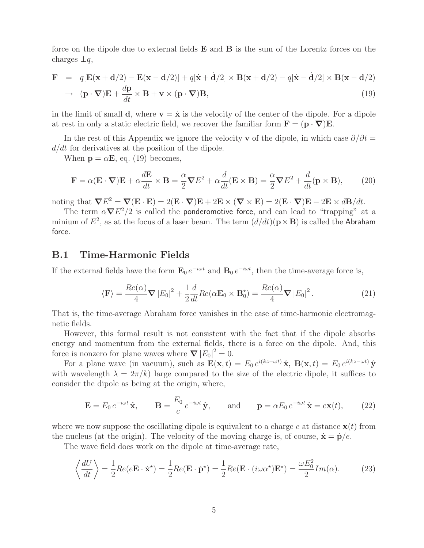force on the dipole due to external fields **E** and **B** is the sum of the Lorentz forces on the charges  $\pm q$ ,

$$
\mathbf{F} = q[\mathbf{E}(\mathbf{x} + \mathbf{d}/2) - \mathbf{E}(\mathbf{x} - \mathbf{d}/2)] + q[\dot{\mathbf{x}} + \dot{\mathbf{d}}/2] \times \mathbf{B}(\mathbf{x} + \mathbf{d}/2) - q[\dot{\mathbf{x}} - \dot{\mathbf{d}}/2] \times \mathbf{B}(\mathbf{x} - \mathbf{d}/2)
$$
  
\n
$$
\rightarrow (\mathbf{p} \cdot \nabla)\mathbf{E} + \frac{d\mathbf{p}}{dt} \times \mathbf{B} + \mathbf{v} \times (\mathbf{p} \cdot \nabla)\mathbf{B},
$$
\n(19)

in the limit of small **d**, where  $\mathbf{v} = \dot{\mathbf{x}}$  is the velocity of the center of the dipole. For a dipole at rest in only a static electric field, we recover the familiar form  $\mathbf{F} = (\mathbf{p} \cdot \nabla) \mathbf{E}$ .

In the rest of this Appendix we ignore the velocity **v** of the dipole, in which case  $\partial/\partial t =$  $d/dt$  for derivatives at the position of the dipole.

When  $\mathbf{p} = \alpha \mathbf{E}$ , eq. (19) becomes,

$$
\mathbf{F} = \alpha (\mathbf{E} \cdot \mathbf{\nabla}) \mathbf{E} + \alpha \frac{d\mathbf{E}}{dt} \times \mathbf{B} = \frac{\alpha}{2} \mathbf{\nabla} E^2 + \alpha \frac{d}{dt} (\mathbf{E} \times \mathbf{B}) = \frac{\alpha}{2} \mathbf{\nabla} E^2 + \frac{d}{dt} (\mathbf{p} \times \mathbf{B}), \quad (20)
$$

noting that  $\nabla E^2 = \nabla (\mathbf{E} \cdot \mathbf{E}) = 2(\mathbf{E} \cdot \nabla)\mathbf{E} + 2\mathbf{E} \times (\nabla \times \mathbf{E}) = 2(\mathbf{E} \cdot \nabla)\mathbf{E} - 2\mathbf{E} \times d\mathbf{B}/dt.$ 

The term  $\alpha \nabla E^2/2$  is called the **ponderomotive force**, and can lead to "trapping" at a minium of  $E^2$ , as at the focus of a laser beam. The term  $(d/dt)(\mathbf{p} \times \mathbf{B})$  is called the Abraham force.

### **B.1 Time-Harmonic Fields**

If the external fields have the form  $\mathbf{E}_0 e^{-i\omega t}$  and  $\mathbf{B}_0 e^{-i\omega t}$ , then the time-average force is,

$$
\langle \mathbf{F} \rangle = \frac{Re(\alpha)}{4} \nabla |E_0|^2 + \frac{1}{2} \frac{d}{dt} Re(\alpha \mathbf{E}_0 \times \mathbf{B}_0^*) = \frac{Re(\alpha)}{4} \nabla |E_0|^2.
$$
 (21)

That is, the time-average Abraham force vanishes in the case of time-harmonic electromagnetic fields.

However, this formal result is not consistent with the fact that if the dipole absorbs energy and momentum from the external fields, there is a force on the dipole. And, this force is nonzero for plane waves where  $\nabla |E_0|^2 = 0$ .

For a plane wave (in vacuum), such as  $\mathbf{E}(\mathbf{x}, t) = E_0 e^{i(kz-\omega t)} \hat{\mathbf{x}}$ ,  $\mathbf{B}(\mathbf{x}, t) = E_0 e^{i(kz-\omega t)} \hat{\mathbf{y}}$ with wavelength  $\lambda = 2\pi/k$  large compared to the size of the electric dipole, it suffices to consider the dipole as being at the origin, where,

$$
\mathbf{E} = E_0 e^{-i\omega t} \hat{\mathbf{x}}, \qquad \mathbf{B} = \frac{E_0}{c} e^{-i\omega t} \hat{\mathbf{y}}, \qquad \text{and} \qquad \mathbf{p} = \alpha E_0 e^{-i\omega t} \hat{\mathbf{x}} = e \mathbf{x}(t), \tag{22}
$$

where we now suppose the oscillating dipole is equivalent to a charge e at distance  $\mathbf{x}(t)$  from the nucleus (at the origin). The velocity of the moving charge is, of course,  $\dot{\mathbf{x}} = \dot{\mathbf{p}}/e$ .

The wave field does work on the dipole at time-average rate,

$$
\left\langle \frac{dU}{dt} \right\rangle = \frac{1}{2} Re(e\mathbf{E} \cdot \dot{\mathbf{x}}^*) = \frac{1}{2} Re(\mathbf{E} \cdot \dot{\mathbf{p}}^*) = \frac{1}{2} Re(\mathbf{E} \cdot (i\omega \alpha^*) \mathbf{E}^*) = \frac{\omega E_0^2}{2} Im(\alpha).
$$
 (23)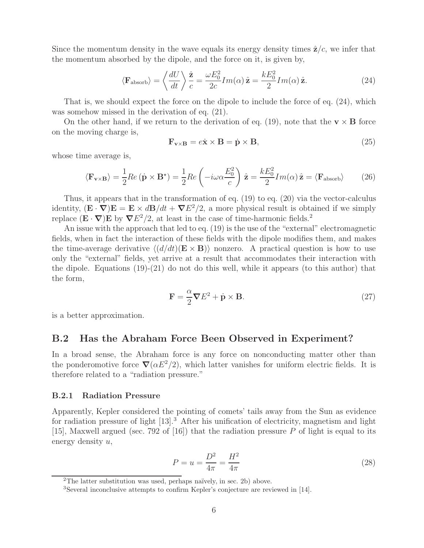Since the momentum density in the wave equals its energy density times  $\hat{\mathbf{z}}/c$ , we infer that the momentum absorbed by the dipole, and the force on it, is given by,

$$
\langle \mathbf{F}_{\text{absorb}} \rangle = \left\langle \frac{dU}{dt} \right\rangle \frac{\hat{\mathbf{z}}}{c} = \frac{\omega E_0^2}{2c} Im(\alpha) \hat{\mathbf{z}} = \frac{k E_0^2}{2} Im(\alpha) \hat{\mathbf{z}}.
$$
 (24)

That is, we should expect the force on the dipole to include the force of eq. (24), which was somehow missed in the derivation of eq. (21).

On the other hand, if we return to the derivation of eq. (19), note that the  $\mathbf{v} \times \mathbf{B}$  force on the moving charge is,

$$
\mathbf{F}_{\mathbf{v}\times\mathbf{B}} = e\dot{\mathbf{x}} \times \mathbf{B} = \dot{\mathbf{p}} \times \mathbf{B},\tag{25}
$$

whose time average is,

$$
\langle \mathbf{F}_{\mathbf{v} \times \mathbf{B}} \rangle = \frac{1}{2} Re \left( \dot{\mathbf{p}} \times \mathbf{B}^* \right) = \frac{1}{2} Re \left( -i\omega \alpha \frac{E_0^2}{c} \right) \hat{\mathbf{z}} = \frac{k E_0^2}{2} Im(\alpha) \hat{\mathbf{z}} = \langle \mathbf{F}_{\text{absorb}} \rangle \tag{26}
$$

Thus, it appears that in the transformation of eq. (19) to eq. (20) via the vector-calculus identity,  $(\mathbf{E} \cdot \nabla)\mathbf{E} = \mathbf{E} \times d\mathbf{B}/dt + \nabla E^2/2$ , a more physical result is obtained if we simply replace  $(\mathbf{E} \cdot \nabla) \mathbf{E}$  by  $\nabla E^2/2$ , at least in the case of time-harmonic fields.<sup>2</sup>

An issue with the approach that led to eq. (19) is the use of the "external" electromagnetic fields, when in fact the interaction of these fields with the dipole modifies them, and makes the time-average derivative  $\langle (d/dt)(\mathbf{E} \times \mathbf{B}) \rangle$  nonzero. A practical question is how to use only the "external" fields, yet arrive at a result that accommodates their interaction with the dipole. Equations  $(19)-(21)$  do not do this well, while it appears (to this author) that the form,

$$
\mathbf{F} = \frac{\alpha}{2} \nabla E^2 + \dot{\mathbf{p}} \times \mathbf{B}.
$$
 (27)

is a better approximation.

#### **B.2 Has the Abraham Force Been Observed in Experiment?**

In a broad sense, the Abraham force is any force on nonconducting matter other than the ponderomotive force  $\nabla(\alpha E^2/2)$ , which latter vanishes for uniform electric fields. It is therefore related to a "radiation pressure."

#### **B.2.1 Radiation Pressure**

Apparently, Kepler considered the pointing of comets' tails away from the Sun as evidence for radiation pressure of light  $[13]$ <sup>3</sup>. After his unification of electricity, magnetism and light [15], Maxwell argued (sec. 792 of [16]) that the radiation pressure P of light is equal to its energy density u,

$$
P = u = \frac{D^2}{4\pi} = \frac{H^2}{4\pi}
$$
\n(28)

<sup>&</sup>lt;sup>2</sup>The latter substitution was used, perhaps naïvely, in sec. 2b) above.

<sup>3</sup>Several inconclusive attempts to confirm Kepler's conjecture are reviewed in [14].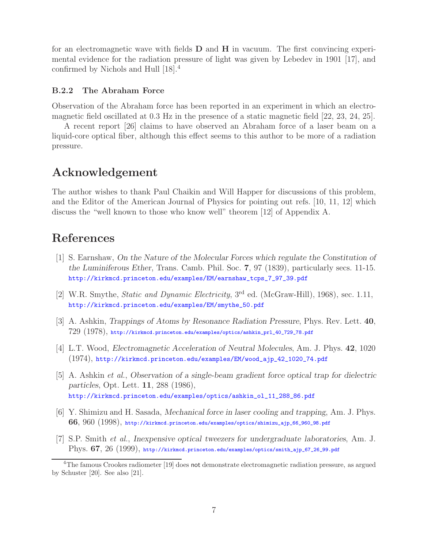for an electromagnetic wave with fields **D** and **H** in vacuum. The first convincing experimental evidence for the radiation pressure of light was given by Lebedev in 1901 [17], and confirmed by Nichols and Hull [18].<sup>4</sup>

#### **B.2.2 The Abraham Force**

Observation of the Abraham force has been reported in an experiment in which an electromagnetic field oscillated at 0.3 Hz in the presence of a static magnetic field [22, 23, 24, 25].

A recent report [26] claims to have observed an Abraham force of a laser beam on a liquid-core optical fiber, although this effect seems to this author to be more of a radiation pressure.

### **Acknowledgement**

The author wishes to thank Paul Chaikin and Will Happer for discussions of this problem, and the Editor of the American Journal of Physics for pointing out refs. [10, 11, 12] which discuss the "well known to those who know well" theorem [12] of Appendix A.

## **References**

- [1] S. Earnshaw, *On the Nature of the Molecular Forces which regulate the Constitution of the Luminiferous Ether*, Trans. Camb. Phil. Soc. **7**, 97 (1839), particularly secs. 11-15. http://kirkmcd.princeton.edu/examples/EM/earnshaw\_tcps\_7\_97\_39.pdf
- [2] W.R. Smythe, *Static and Dynamic Electricity*, 3rd ed. (McGraw-Hill), 1968), sec. 1.11, http://kirkmcd.princeton.edu/examples/EM/smythe\_50.pdf
- [3] A. Ashkin, *Trappings of Atoms by Resonance Radiation Pressure*, Phys. Rev. Lett. **40**, 729 (1978), http://kirkmcd.princeton.edu/examples/optics/ashkin\_prl\_40\_729\_78.pdf
- [4] L.T. Wood, *Electromagnetic Acceleration of Neutral Molecules*, Am. J. Phys. **42**, 1020 (1974), http://kirkmcd.princeton.edu/examples/EM/wood\_ajp\_42\_1020\_74.pdf
- [5] A. Ashkin *et al.*, *Observation of a single-beam gradient force optical trap for dielectric particles*, Opt. Lett. **11**, 288 (1986), http://kirkmcd.princeton.edu/examples/optics/ashkin\_ol\_11\_288\_86.pdf
- [6] Y. Shimizu and H. Sasada, *Mechanical force in laser cooling and trapping*, Am. J. Phys. **66**, 960 (1998), http://kirkmcd.princeton.edu/examples/optics/shimizu\_ajp\_66\_960\_98.pdf
- [7] S.P. Smith *et al.*, *Inexpensive optical tweezers for undergraduate laboratories*, Am. J. Phys. **67**, 26 (1999), http://kirkmcd.princeton.edu/examples/optics/smith\_ajp\_67\_26\_99.pdf

<sup>&</sup>lt;sup>4</sup>The famous Crookes radiometer [19] does not demonstrate electromagnetic radiation pressure, as argued by Schuster [20]. See also [21].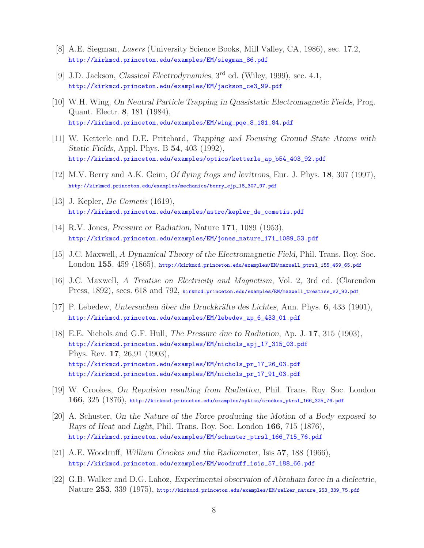- [8] A.E. Siegman, *Lasers* (University Science Books, Mill Valley, CA, 1986), sec. 17.2, http://kirkmcd.princeton.edu/examples/EM/siegman\_86.pdf
- [9] J.D. Jackson, *Classical Electrodynamics*, 3rd ed. (Wiley, 1999), sec. 4.1, http://kirkmcd.princeton.edu/examples/EM/jackson\_ce3\_99.pdf
- [10] W.H. Wing, *On Neutral Particle Trapping in Quasistatic Electromagnetic Fields*, Prog. Quant. Electr. **8**, 181 (1984), http://kirkmcd.princeton.edu/examples/EM/wing\_pqe\_8\_181\_84.pdf
- [11] W. Ketterle and D.E. Pritchard, *Trapping and Focusing Ground State Atoms with Static Fields*, Appl. Phys. B **54**, 403 (1992), http://kirkmcd.princeton.edu/examples/optics/ketterle\_ap\_b54\_403\_92.pdf
- [12] M.V. Berry and A.K. Geim, *Of flying frogs and levitrons*, Eur. J. Phys. **18**, 307 (1997), http://kirkmcd.princeton.edu/examples/mechanics/berry\_ejp\_18\_307\_97.pdf
- [13] J. Kepler, *De Cometis* (1619), http://kirkmcd.princeton.edu/examples/astro/kepler\_de\_cometis.pdf
- [14] R.V. Jones, *Pressure or Radiation*, Nature **171**, 1089 (1953), http://kirkmcd.princeton.edu/examples/EM/jones\_nature\_171\_1089\_53.pdf
- [15] J.C. Maxwell, *A Dynamical Theory of the Electromagnetic Field*, Phil. Trans. Roy. Soc. London **155**, 459 (1865), http://kirkmcd.princeton.edu/examples/EM/maxwell\_ptrsl\_155\_459\_65.pdf
- [16] J.C. Maxwell, *A Treatise on Electricity and Magnetism*, Vol. 2, 3rd ed. (Clarendon Press, 1892), secs. 618 and 792, kirkmcd.princeton.edu/examples/EM/maxwell\_treatise\_v2\_92.pdf
- [17] P. Lebedew, *Untersuchen ¨uber die Druckkr¨afte des Lichtes*, Ann. Phys. **6**, 433 (1901), http://kirkmcd.princeton.edu/examples/EM/lebedev\_ap\_6\_433\_01.pdf
- [18] E.E. Nichols and G.F. Hull, *The Pressure due to Radiation*, Ap. J. **17**, 315 (1903), http://kirkmcd.princeton.edu/examples/EM/nichols\_apj\_17\_315\_03.pdf Phys. Rev. **17**, 26,91 (1903), http://kirkmcd.princeton.edu/examples/EM/nichols\_pr\_17\_26\_03.pdf http://kirkmcd.princeton.edu/examples/EM/nichols\_pr\_17\_91\_03.pdf
- [19] W. Crookes, *On Repulsion resulting from Radiation*, Phil. Trans. Roy. Soc. London **166**, 325 (1876), http://kirkmcd.princeton.edu/examples/optics/crookes\_ptrsl\_166\_325\_76.pdf
- [20] A. Schuster, *On the Nature of the Force producing the Motion of a Body exposed to Rays of Heat and Light*, Phil. Trans. Roy. Soc. London **166**, 715 (1876), http://kirkmcd.princeton.edu/examples/EM/schuster\_ptrsl\_166\_715\_76.pdf
- [21] A.E. Woodruff, *William Crookes and the Radiometer*, Isis **57**, 188 (1966), http://kirkmcd.princeton.edu/examples/EM/woodruff\_isis\_57\_188\_66.pdf
- [22] G.B. Walker and D.G. Lahoz, *Experimental observaion of Abraham force in a dielectric*, Nature **253**, 339 (1975), http://kirkmcd.princeton.edu/examples/EM/walker\_nature\_253\_339\_75.pdf